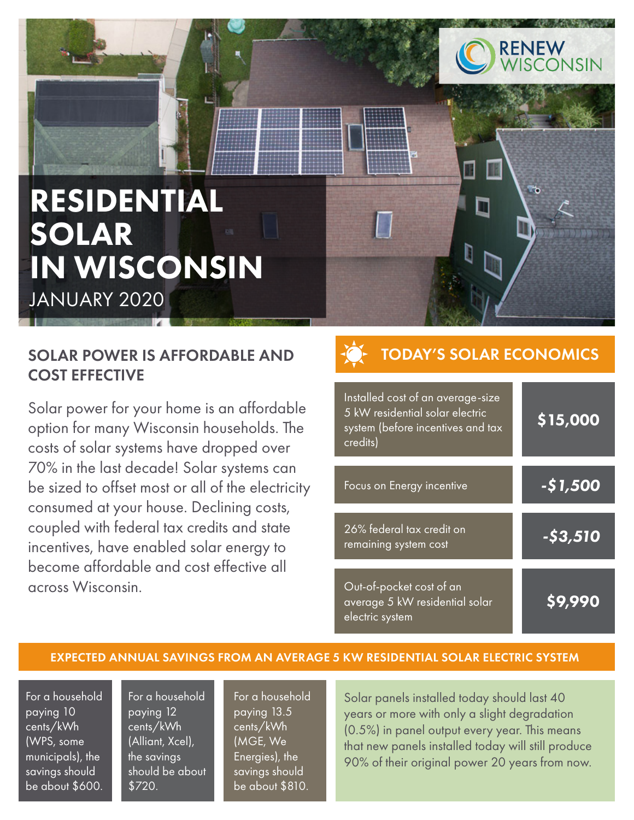

# RESIDENTIAL SOLAR IN WISCONSIN JANUARY 2020

### SOLAR POWER IS AFFORDABLE AND COST EFFECTIVE

Solar power for your home is an affordable option for many Wisconsin households. The costs of solar systems have dropped over 70% in the last decade! Solar systems can be sized to offset most or all of the electricity consumed at your house. Declining costs, coupled with federal tax credits and state incentives, have enabled solar energy to become affordable and cost effective all across Wisconsin.

# TODAY'S SOLAR ECONOMICS

| Installed cost of an average-size<br>5 kW residential solar electric<br>system (before incentives and tax<br>credits) | \$15,000        |
|-----------------------------------------------------------------------------------------------------------------------|-----------------|
| Focus on Energy incentive                                                                                             | -\$1,500        |
| 26% federal tax credit on<br>remaining system cost                                                                    | <u>-\$3,510</u> |
| Out-of-pocket cost of an<br>average 5 kW residential solar<br>electric system                                         | S9.990          |

#### EXPECTED ANNUAL SAVINGS FROM AN AVERAGE 5 KW RESIDENTIAL SOLAR ELECTRIC SYSTEM

For a household paying 10 cents/kWh (WPS, some municipals), the savings should be about \$600.

For a household paying 12 cents/kWh (Alliant, Xcel), the savings should be about \$720.

For a household paying 13.5 cents/kWh (MGE, We Energies), the savings should be about \$810.

Solar panels installed today should last 40 years or more with only a slight degradation (0.5%) in panel output every year. This means that new panels installed today will still produce 90% of their original power 20 years from now.